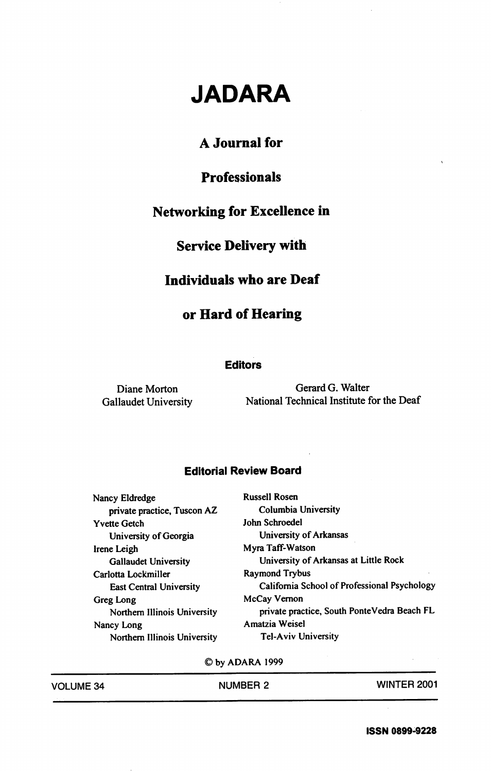# JADARA

## A Journal for

## Professionals

#### Networking for Excellence in

#### Service Delivery with

#### Individuals who are Deaf

## or Hard of Hearing

#### **Editors**

Diane Morton Gerard G. Walter Gallaudet University National Technical Institute for the Deaf

#### Editorial Review Board

Nancy Eldredge Russell Rosen<br>
private practice. Tuscon AZ Columbia University private practice, Tuscon AZ Columbia University Columbia University Columbia University Columbia University Columbia U Yvette Getch University of Georgia University of Arkansas Irene Leigh Myra Taff-Watson Carlotta Lockmiller Raymond Trybus Greg Long McCay Vernon Nancy Long **Amatzia Weisel** Northern Illinois University Tel-Aviv University

Gallaudet University University of Arkansas at Little Rock East Central University California School of Professional Psychology Northern Illinois University private practice. South PonteVedra Beach FL

©byADARA1999

| <b>VOLUME 34</b> |  |  |
|------------------|--|--|
|------------------|--|--|

VOLUME 34 NUMBER 2 WINTER 2001

ISSN 0899-9228